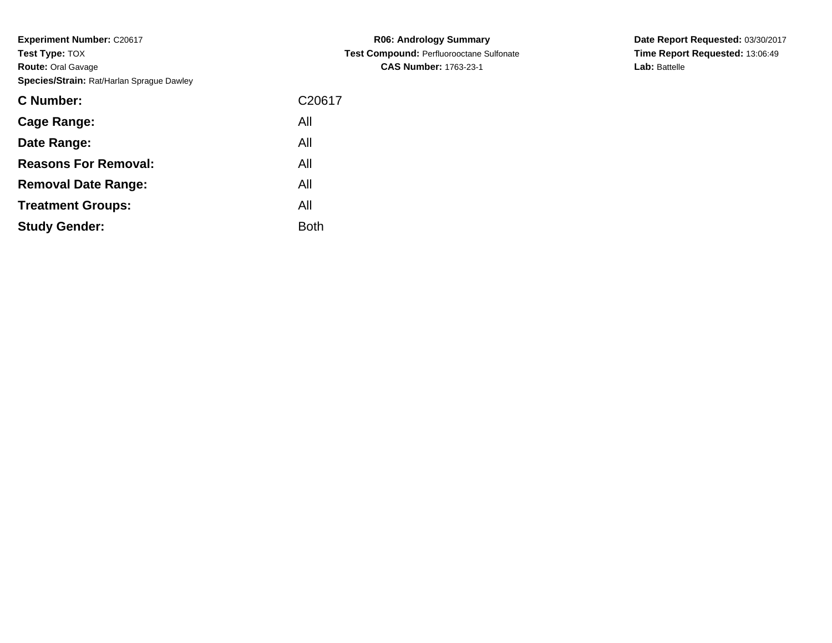**Experiment Number: C20617 Test Type:** TOX **Route:** Oral Gavage**Species/Strain:** Rat/Harlan Sprague Dawley

| C <sub>20617</sub> |
|--------------------|
| All                |
| All                |
| All                |
| All                |
| All                |
| Both               |
|                    |

**R06: Andrology Summary Test Compound:** Perfluorooctane Sulfonate**CAS Number:** 1763-23-1

**Date Report Requested:** 03/30/2017**Time Report Requested:** 13:06:49**Lab:** Battelle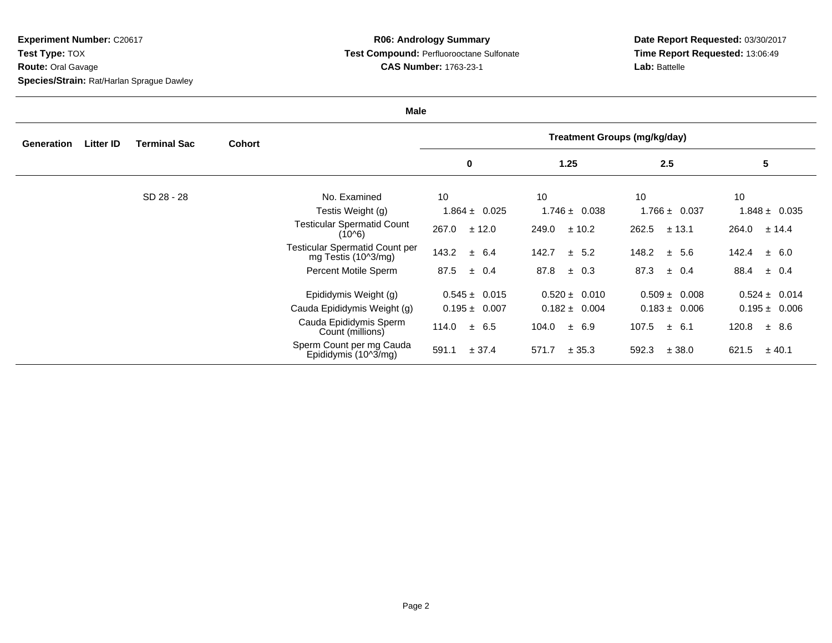**Experiment Number:** C20617**Test Type:** TOX**Route:** Oral Gavage

**Species/Strain:** Rat/Harlan Sprague Dawley

## **R06: Andrology Summary Test Compound:** Perfluorooctane Sulfonate**CAS Number:** 1763-23-1

**Date Report Requested:** 03/30/2017**Time Report Requested:** 13:06:49**Lab:** Battelle

| <b>Male</b>       |                  |                     |               |                                                              |                                     |                   |                    |                    |  |
|-------------------|------------------|---------------------|---------------|--------------------------------------------------------------|-------------------------------------|-------------------|--------------------|--------------------|--|
| <b>Generation</b> | <b>Litter ID</b> | <b>Terminal Sac</b> | <b>Cohort</b> |                                                              | <b>Treatment Groups (mg/kg/day)</b> |                   |                    |                    |  |
|                   |                  |                     |               |                                                              | $\pmb{0}$                           | 1.25              | 2.5                | 5                  |  |
|                   |                  | SD 28 - 28          |               | No. Examined                                                 | 10                                  | 10                | 10                 | 10                 |  |
|                   |                  |                     |               | Testis Weight (g)                                            | $1.864 \pm 0.025$                   | $1.746 \pm 0.038$ | $1.766 \pm 0.037$  | $1.848 \pm 0.035$  |  |
|                   |                  |                     |               | <b>Testicular Spermatid Count</b><br>(10^6)                  | 267.0<br>± 12.0                     | 249.0<br>± 10.2   | 262.5<br>± 13.1    | 264.0<br>± 14.4    |  |
|                   |                  |                     |               | <b>Testicular Spermatid Count per</b><br>mg Testis (10^3/mg) | 143.2<br>± 6.4                      | 142.7<br>± 5.2    | 148.2<br>± 5.6     | 142.4<br>$\pm$ 6.0 |  |
|                   |                  |                     |               | Percent Motile Sperm                                         | 87.5<br>± 0.4                       | 87.8<br>$\pm$ 0.3 | 87.3<br>$\pm$ 0.4  | 88.4<br>$\pm$ 0.4  |  |
|                   |                  |                     |               | Epididymis Weight (g)                                        | $0.545 \pm 0.015$                   | $0.520 \pm 0.010$ | $0.509 \pm 0.008$  | $0.524 \pm 0.014$  |  |
|                   |                  |                     |               | Cauda Epididymis Weight (g)                                  | $0.195 \pm 0.007$                   | $0.182 \pm 0.004$ | $0.183 \pm 0.006$  | $0.195 \pm 0.006$  |  |
|                   |                  |                     |               | Cauda Epididymis Sperm<br>Count (millions)                   | 114.0<br>± 6.5                      | ± 6.9<br>104.0    | 107.5<br>$\pm$ 6.1 | 120.8<br>± 8.6     |  |
|                   |                  |                     |               | Sperm Count per mg Cauda<br>Epididymis (10^3/mg)             | 591.1<br>± 37.4                     | 571.7<br>± 35.3   | 592.3<br>± 38.0    | 621.5<br>± 40.1    |  |